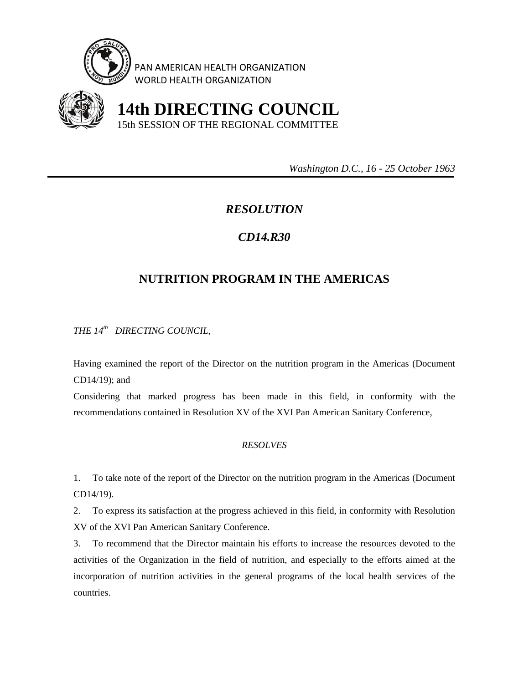

PAN AMERICAN HEALTH ORGANIZATION WORLD HEALTH ORGANIZATION



 **14th DIRECTING COUNCIL** 15th SESSION OF THE REGIONAL COMMITTEE

 *Washington D.C., 16 - 25 October 1963* 

## *RESOLUTION*

## *CD14.R30*

## **NUTRITION PROGRAM IN THE AMERICAS**

*THE 14th DIRECTING COUNCIL,* 

Having examined the report of the Director on the nutrition program in the Americas (Document CD14/19); and

Considering that marked progress has been made in this field, in conformity with the recommendations contained in Resolution XV of the XVI Pan American Sanitary Conference,

## *RESOLVES*

1. To take note of the report of the Director on the nutrition program in the Americas (Document CD14/19).

2. To express its satisfaction at the progress achieved in this field, in conformity with Resolution XV of the XVI Pan American Sanitary Conference.

3. To recommend that the Director maintain his efforts to increase the resources devoted to the activities of the Organization in the field of nutrition, and especially to the efforts aimed at the incorporation of nutrition activities in the general programs of the local health services of the countries.